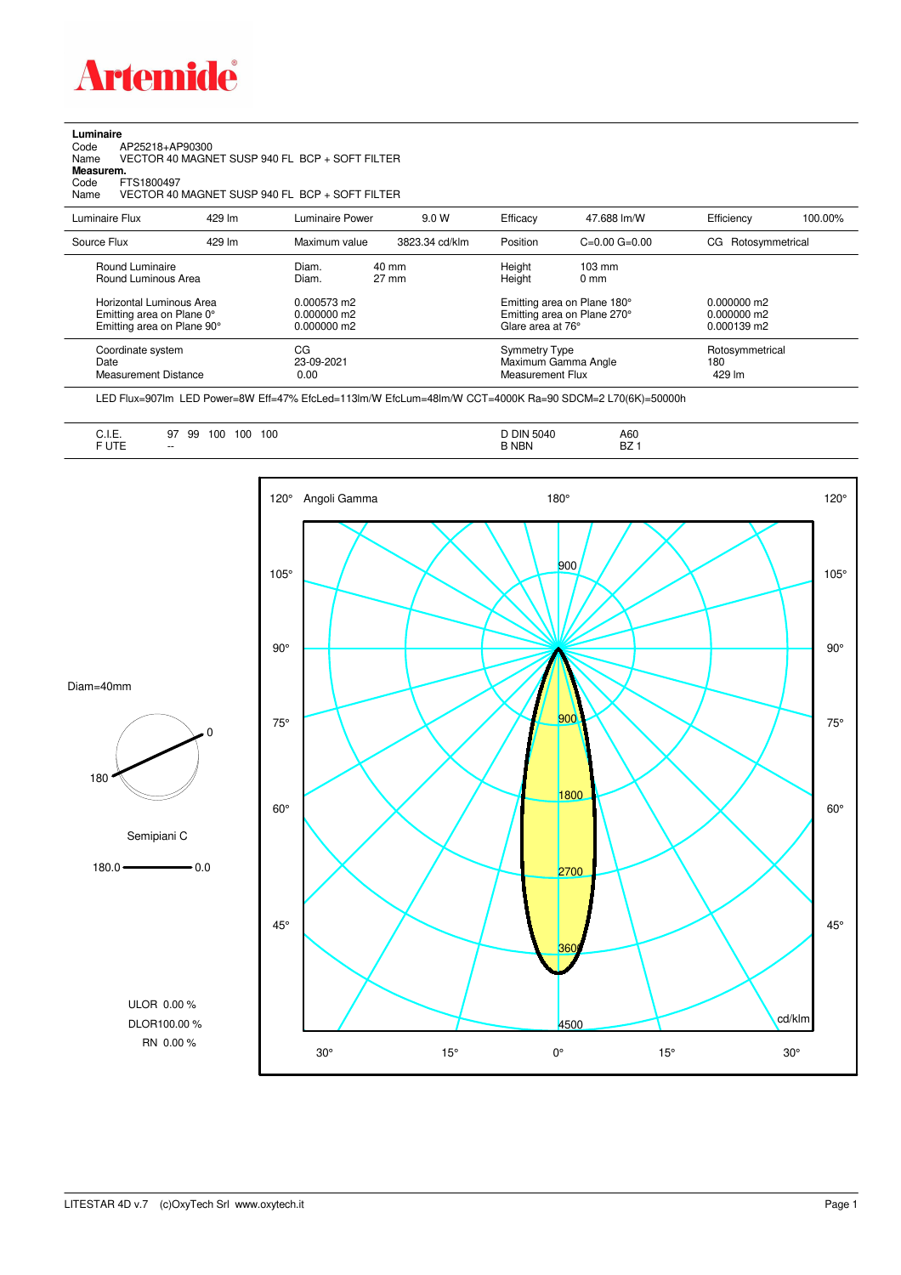

**Luminaire**

| Code<br>AP25218+AP90300<br>Name<br>Measurem.<br>FTS1800497<br>Code<br>Name          |        | VECTOR 40 MAGNET SUSP 940 FL BCP + SOFT FILTER<br>VECTOR 40 MAGNET SUSP 940 FL BCP + SOFT FILTER |                |                                                                                 |                                     |                                               |         |
|-------------------------------------------------------------------------------------|--------|--------------------------------------------------------------------------------------------------|----------------|---------------------------------------------------------------------------------|-------------------------------------|-----------------------------------------------|---------|
| Luminaire Flux                                                                      | 429 lm | Luminaire Power                                                                                  | 9.0 W          | Efficacy                                                                        | 47.688 lm/W                         | Efficiency                                    | 100.00% |
| Source Flux                                                                         | 429 lm | Maximum value                                                                                    | 3823.34 cd/klm | Position                                                                        | $C=0.00$ $G=0.00$                   | CG Rotosymmetrical                            |         |
| Round Luminaire<br>Round Luminous Area                                              |        | $40 \text{ mm}$<br>Diam.<br>$27 \text{ mm}$<br>Diam.                                             |                | Height<br>Height                                                                | $103 \text{ mm}$<br>0 <sub>mm</sub> |                                               |         |
| Horizontal Luminous Area<br>Emitting area on Plane 0°<br>Emitting area on Plane 90° |        | 0.000573 m2<br>$0.000000$ m2<br>0.000000 m2                                                      |                | Emitting area on Plane 180°<br>Emitting area on Plane 270°<br>Glare area at 76° |                                     | $0.000000$ m2<br>$0.000000$ m2<br>0.000139 m2 |         |
| Coordinate system<br>Date<br><b>Measurement Distance</b>                            |        | CG<br>23-09-2021<br>0.00                                                                         |                | <b>Symmetry Type</b><br><b>Measurement Flux</b>                                 | Maximum Gamma Angle                 | Rotosymmetrical<br>180<br>429 lm              |         |

LED Flux=907lm LED Power=8W Eff=47% EfcLed=113lm/W EfcLum=48lm/W CCT=4000K Ra=90 SDCM=2 L70(6K)=50000h